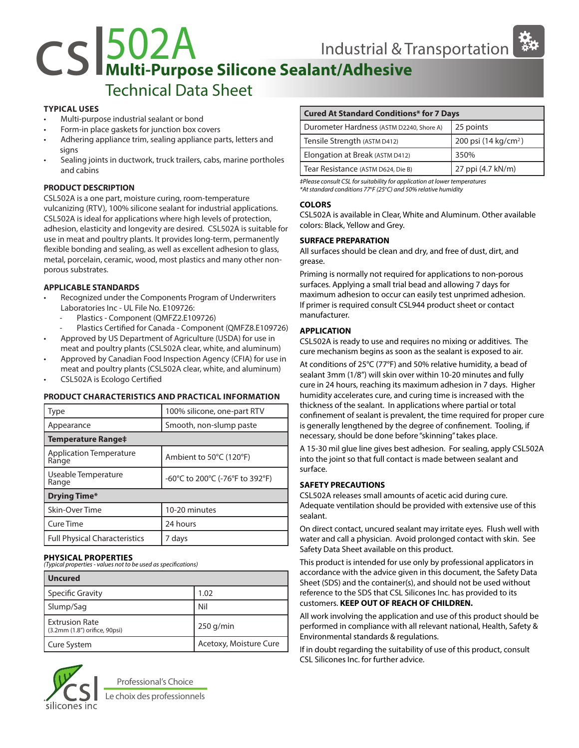# CS 502A<br>
Multi-Purpose Silicone Sealant/Adhesive<br>
Technical Date Sheet

## Technical Data Sheet

#### **TYPICAL USES**

- Multi-purpose industrial sealant or bond
- Form-in place gaskets for junction box covers
- Adhering appliance trim, sealing appliance parts, letters and signs
- Sealing joints in ductwork, truck trailers, cabs, marine portholes and cabins

#### **PRODUCT DESCRIPTION**

CSL502A is a one part, moisture curing, room-temperature vulcanizing (RTV), 100% silicone sealant for industrial applications. CSL502A is ideal for applications where high levels of protection, adhesion, elasticity and longevity are desired. CSL502A is suitable for use in meat and poultry plants. It provides long-term, permanently flexible bonding and sealing, as well as excellent adhesion to glass, metal, porcelain, ceramic, wood, most plastics and many other nonporous substrates.

#### **APPLICABLE STANDARDS**

- Recognized under the Components Program of Underwriters Laboratories Inc - UL File No. E109726:
	- Plastics Component (QMFZ2.E109726)
	- Plastics Certified for Canada Component (QMFZ8.E109726)
- Approved by US Department of Agriculture (USDA) for use in meat and poultry plants (CSL502A clear, white, and aluminum)
- Approved by Canadian Food Inspection Agency (CFIA) for use in meat and poultry plants (CSL502A clear, white, and aluminum)
- CSL502A is Ecologo Certified

#### **PRODUCT CHARACTERISTICS AND PRACTICAL INFORMATION**

| Type                                    | 100% silicone, one-part RTV     |  |
|-----------------------------------------|---------------------------------|--|
| Appearance                              | Smooth, non-slump paste         |  |
| <b>Temperature Range‡</b>               |                                 |  |
| <b>Application Temperature</b><br>Range | Ambient to 50°C (120°F)         |  |
| Useable Temperature<br>Range            | -60°C to 200°C (-76°F to 392°F) |  |
| <b>Drying Time*</b>                     |                                 |  |
| Skin-Over Time                          | 10-20 minutes                   |  |
| Cure Time                               | 24 hours                        |  |
| <b>Full Physical Characteristics</b>    | 7 days                          |  |

#### **PHYSICAL PROPERTIES**

*(Typical properties - values not to be used as specifications)*

| <b>Uncured</b>                                         |                        |
|--------------------------------------------------------|------------------------|
| <b>Specific Gravity</b>                                | 1.02                   |
| Slump/Sag                                              | Nil                    |
| <b>Extrusion Rate</b><br>(3.2mm (1.8") orifice, 90psi) | $250$ g/min            |
| Cure System                                            | Acetoxy, Moisture Cure |



Professional's Choice Le choix des professionnels

### **Cured At Standard Conditions\* for 7 Days**

| Durometer Hardness (ASTM D2240, Shore A) | 25 points                        |
|------------------------------------------|----------------------------------|
| Tensile Strength (ASTM D412)             | 200 psi (14 kg/cm <sup>2</sup> ) |
| Elongation at Break (ASTM D412)          | 350%                             |
| Tear Resistance (ASTM D624, Die B)       | 27 ppi (4.7 kN/m)                |

*‡Please consult CSL for suitability for application at lower temperatures \*At standard conditions 77o F (25o C) and 50% relative humidity*

#### **COLORS**

CSL502A is available in Clear, White and Aluminum. Other available colors: Black, Yellow and Grey.

#### **SURFACE PREPARATION**

All surfaces should be clean and dry, and free of dust, dirt, and grease.

Priming is normally not required for applications to non-porous surfaces. Applying a small trial bead and allowing 7 days for maximum adhesion to occur can easily test unprimed adhesion. If primer is required consult CSL944 product sheet or contact manufacturer.

#### **APPLICATION**

CSL502A is ready to use and requires no mixing or additives. The cure mechanism begins as soon as the sealant is exposed to air.

At conditions of 25°C (77°F) and 50% relative humidity, a bead of sealant 3mm (1/8") will skin over within 10-20 minutes and fully cure in 24 hours, reaching its maximum adhesion in 7 days. Higher humidity accelerates cure, and curing time is increased with the thickness of the sealant. In applications where partial or total confinement of sealant is prevalent, the time required for proper cure is generally lengthened by the degree of confinement. Tooling, if necessary, should be done before "skinning" takes place.

A 15-30 mil glue line gives best adhesion. For sealing, apply CSL502A into the joint so that full contact is made between sealant and surface.

#### **SAFETY PRECAUTIONS**

CSL502A releases small amounts of acetic acid during cure. Adequate ventilation should be provided with extensive use of this sealant.

On direct contact, uncured sealant may irritate eyes. Flush well with water and call a physician. Avoid prolonged contact with skin. See Safety Data Sheet available on this product.

This product is intended for use only by professional applicators in accordance with the advice given in this document, the Safety Data Sheet (SDS) and the container(s), and should not be used without reference to the SDS that CSL Silicones Inc. has provided to its customers. **KEEP OUT OF REACH OF CHILDREN.**

All work involving the application and use of this product should be performed in compliance with all relevant national, Health, Safety & Environmental standards & regulations.

If in doubt regarding the suitability of use of this product, consult CSL Silicones Inc. for further advice.